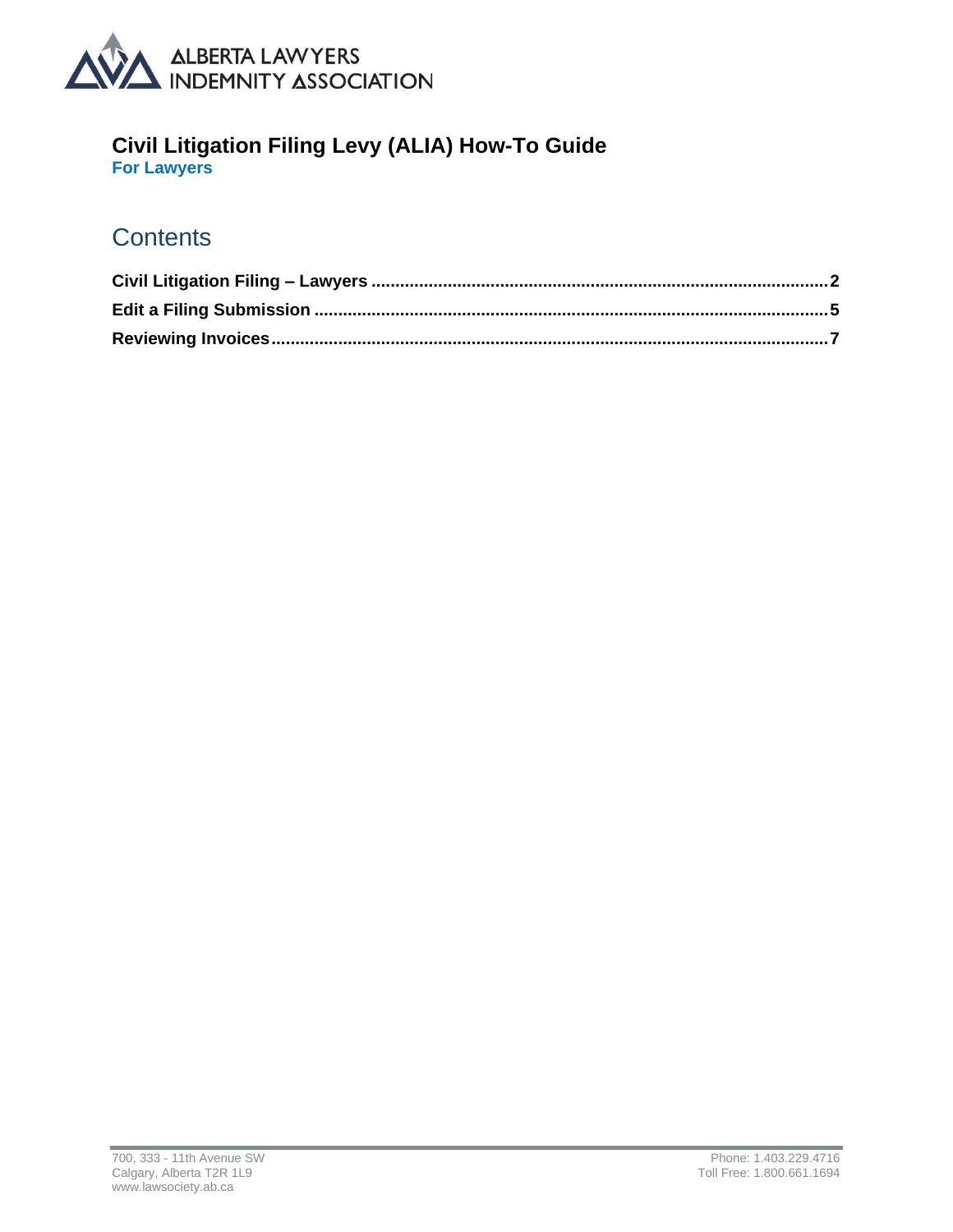

### **Civil Litigation Filing Levy (ALIA) How-To Guide**

**For Lawyers**

### **Contents**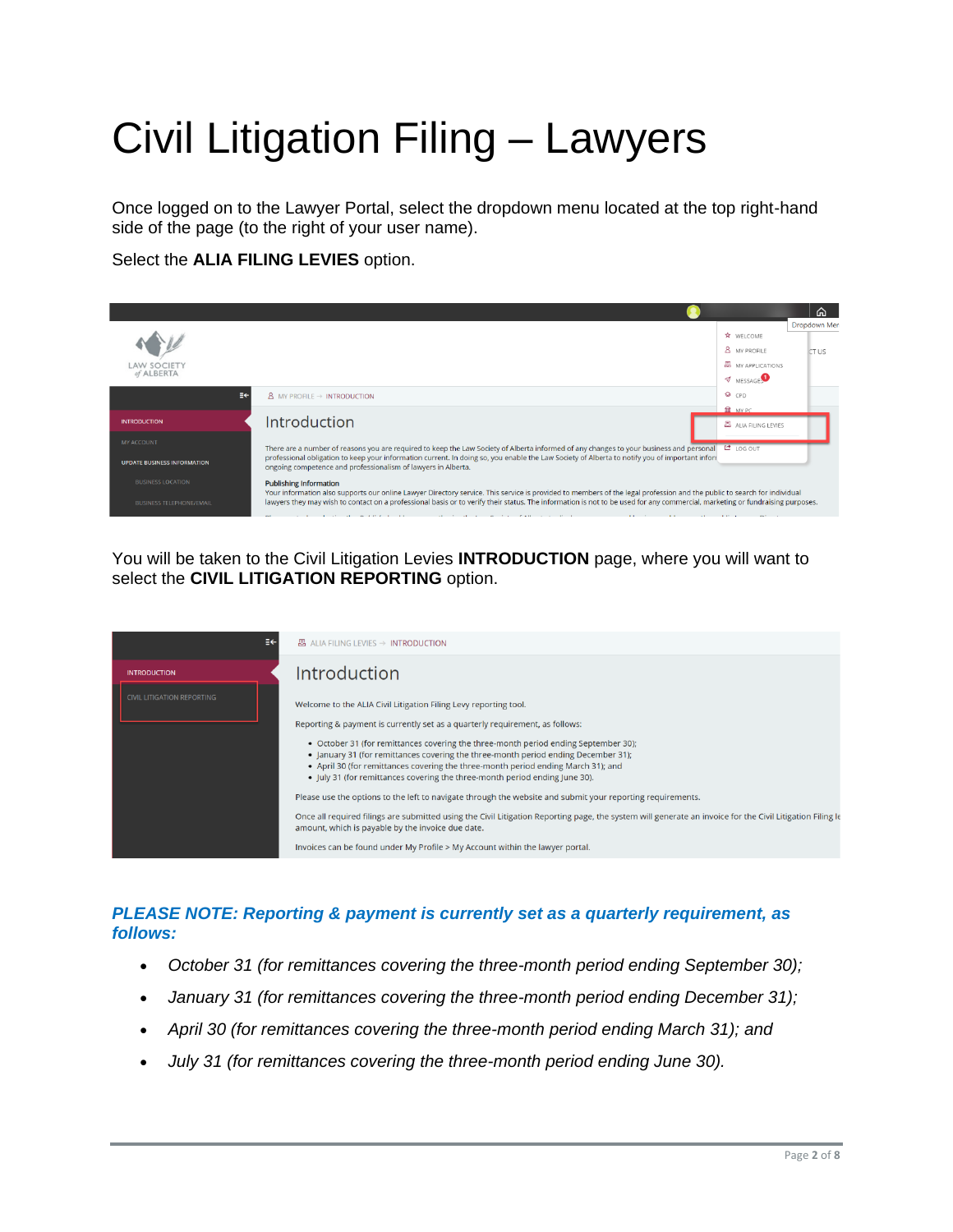# <span id="page-1-0"></span>Civil Litigation Filing – Lawyers

Once logged on to the Lawyer Portal, select the dropdown menu located at the top right-hand side of the page (to the right of your user name).

Select the **ALIA FILING LEVIES** option.



You will be taken to the Civil Litigation Levies **INTRODUCTION** page, where you will want to select the **CIVIL LITIGATION REPORTING** option.

| ≡←                                                       | 图 ALIA FILING LEVIES → INTRODUCTION                                                                                                                                                                                                                                                                                                                                                                                                                                                                                                                                                                                                                                                                                                                                                                                                                                                                                               |
|----------------------------------------------------------|-----------------------------------------------------------------------------------------------------------------------------------------------------------------------------------------------------------------------------------------------------------------------------------------------------------------------------------------------------------------------------------------------------------------------------------------------------------------------------------------------------------------------------------------------------------------------------------------------------------------------------------------------------------------------------------------------------------------------------------------------------------------------------------------------------------------------------------------------------------------------------------------------------------------------------------|
| <b>INTRODUCTION</b><br><b>CIVIL LITIGATION REPORTING</b> | Introduction<br>Welcome to the ALIA Civil Litigation Filing Levy reporting tool.<br>Reporting & payment is currently set as a quarterly requirement, as follows:<br>• October 31 (for remittances covering the three-month period ending September 30);<br>• January 31 (for remittances covering the three-month period ending December 31);<br>• April 30 (for remittances covering the three-month period ending March 31); and<br>• July 31 (for remittances covering the three-month period ending June 30).<br>Please use the options to the left to navigate through the website and submit your reporting requirements.<br>Once all required filings are submitted using the Civil Litigation Reporting page, the system will generate an invoice for the Civil Litigation Filing l<br>amount, which is payable by the invoice due date.<br>Invoices can be found under My Profile > My Account within the lawyer portal. |
|                                                          |                                                                                                                                                                                                                                                                                                                                                                                                                                                                                                                                                                                                                                                                                                                                                                                                                                                                                                                                   |

#### *PLEASE NOTE: Reporting & payment is currently set as a quarterly requirement, as follows:*

- *October 31 (for remittances covering the three-month period ending September 30);*
- *January 31 (for remittances covering the three-month period ending December 31);*
- *April 30 (for remittances covering the three-month period ending March 31); and*
- *July 31 (for remittances covering the three-month period ending June 30).*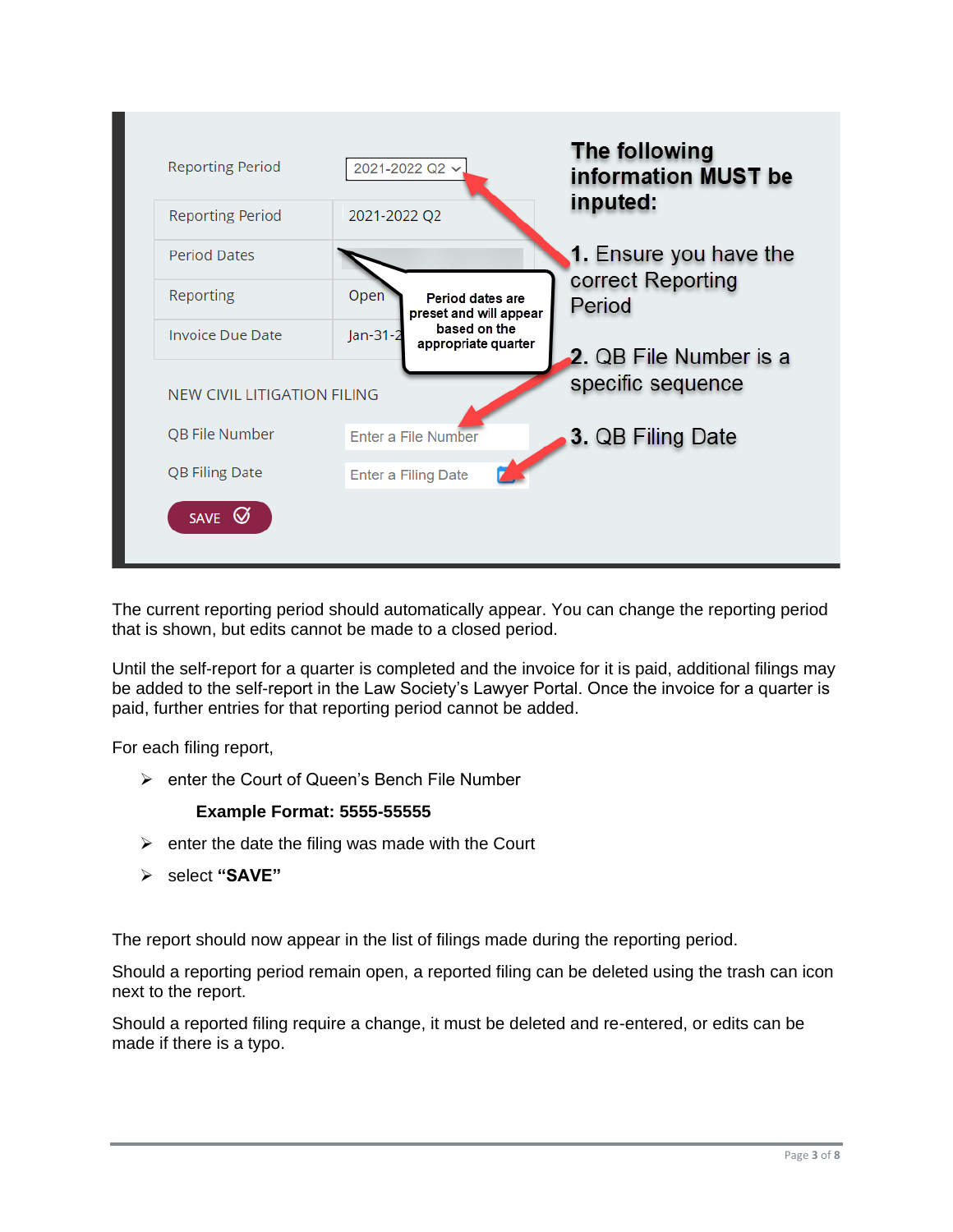

The current reporting period should automatically appear. You can change the reporting period that is shown, but edits cannot be made to a closed period.

Until the self-report for a quarter is completed and the invoice for it is paid, additional filings may be added to the self-report in the Law Society's Lawyer Portal. Once the invoice for a quarter is paid, further entries for that reporting period cannot be added.

For each filing report,

➢ enter the Court of Queen's Bench File Number

#### **Example Format: 5555-55555**

- $\triangleright$  enter the date the filing was made with the Court
- ➢ select **"SAVE"**

The report should now appear in the list of filings made during the reporting period.

Should a reporting period remain open, a reported filing can be deleted using the trash can icon next to the report.

Should a reported filing require a change, it must be deleted and re-entered, or edits can be made if there is a typo.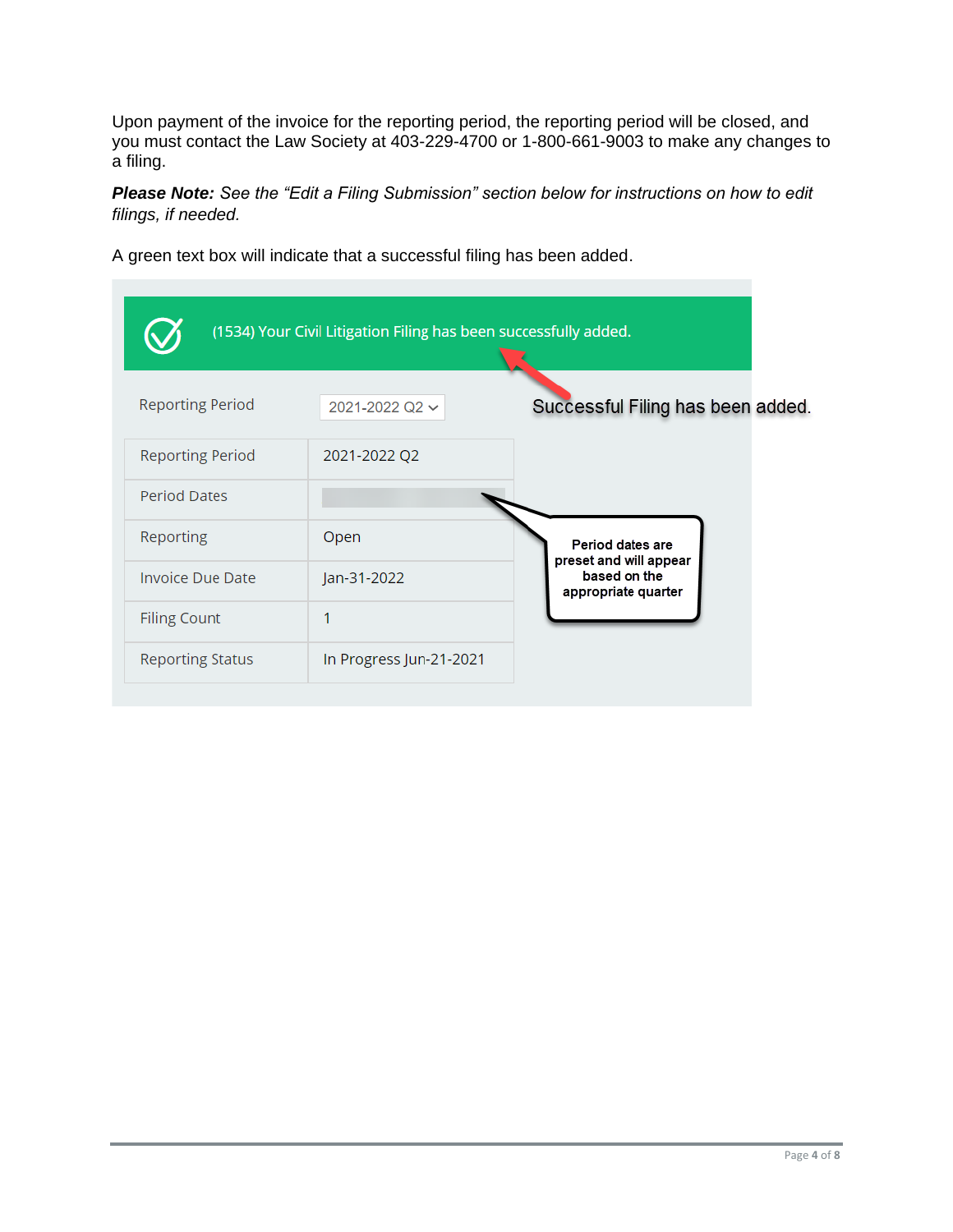Upon payment of the invoice for the reporting period, the reporting period will be closed, and you must contact the Law Society at 403-229-4700 or 1-800-661-9003 to make any changes to a filing.

*Please Note: See the "Edit a Filing Submission" section below for instructions on how to edit filings, if needed.* 

A green text box will indicate that a successful filing has been added.

|                         | (1534) Your Civil Litigation Filing has been successfully added. |                                                               |
|-------------------------|------------------------------------------------------------------|---------------------------------------------------------------|
| <b>Reporting Period</b> | 2021-2022 Q2 $\sim$                                              | Successful Filing has been added.                             |
| <b>Reporting Period</b> | 2021-2022 Q2                                                     |                                                               |
| <b>Period Dates</b>     |                                                                  |                                                               |
| Reporting               | Open                                                             | Period dates are                                              |
| <b>Invoice Due Date</b> | Jan-31-2022                                                      | preset and will appear<br>based on the<br>appropriate quarter |
| <b>Filing Count</b>     | 1                                                                |                                                               |
| <b>Reporting Status</b> | In Progress Jun-21-2021                                          |                                                               |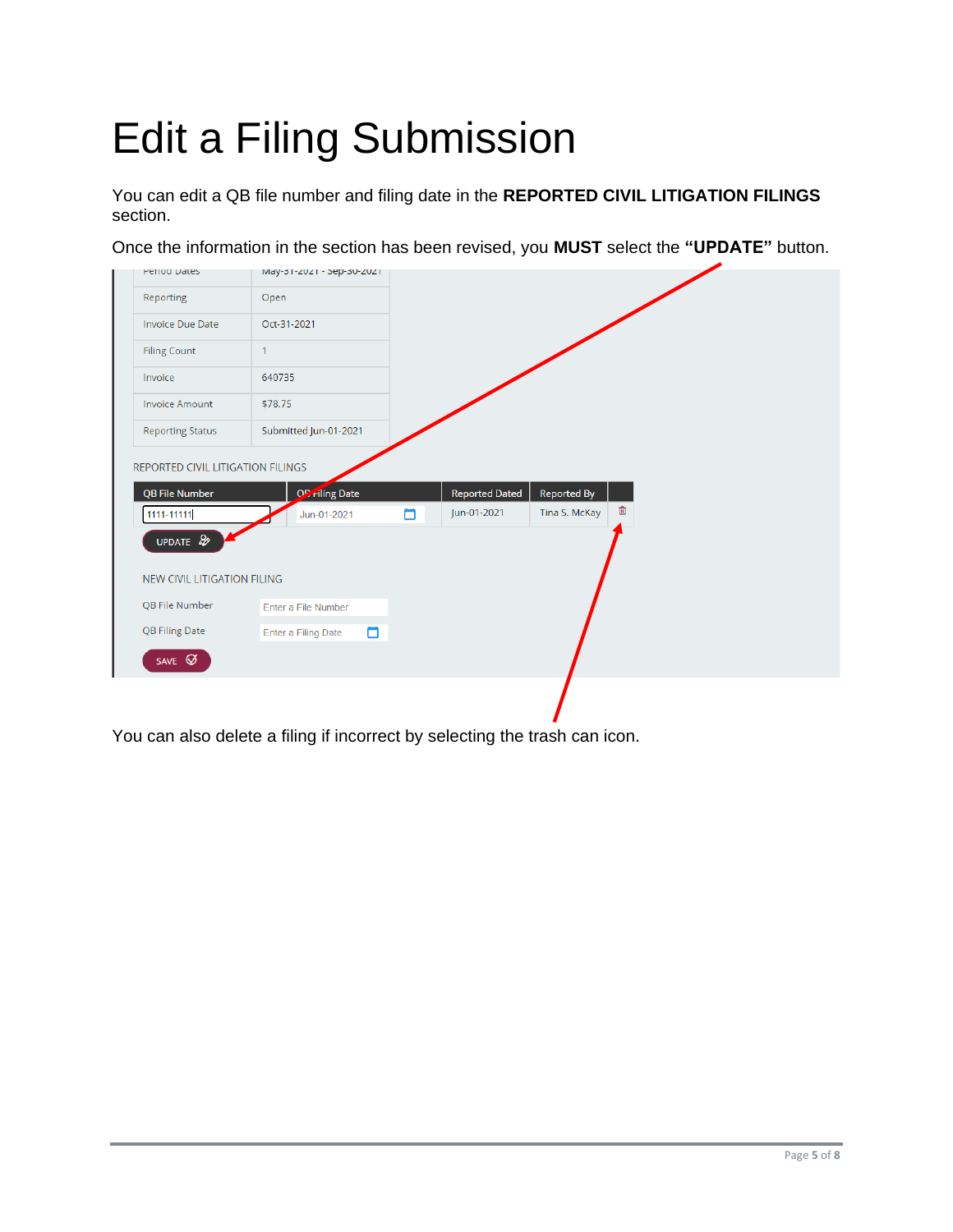## <span id="page-4-0"></span>Edit a Filing Submission

You can edit a QB file number and filing date in the **REPORTED CIVIL LITIGATION FILINGS** section.

Once the information in the section has been revised, you **MUST** select the **"UPDATE"** button.

| <b>Period Dates</b>                            | May-31-2021 - Sep-30-2021 |  |
|------------------------------------------------|---------------------------|--|
| Reporting                                      | Open                      |  |
| <b>Invoice Due Date</b>                        | Oct-31-2021               |  |
| <b>Filing Count</b>                            | $\mathbf{1}$              |  |
| Invoice                                        | 640735                    |  |
| <b>Invoice Amount</b>                          | \$78.75                   |  |
| <b>Reporting Status</b>                        | Submitted Jun-01-2021     |  |
| UPDATE &<br><b>NEW CIVIL LITIGATION FILING</b> |                           |  |
| QB File Number                                 |                           |  |
|                                                | Enter a File Number       |  |
| <b>QB Filing Date</b>                          | Enter a Filing Date       |  |
| SAVE $\varnothing$                             | 0                         |  |

You can also delete a filing if incorrect by selecting the trash can icon.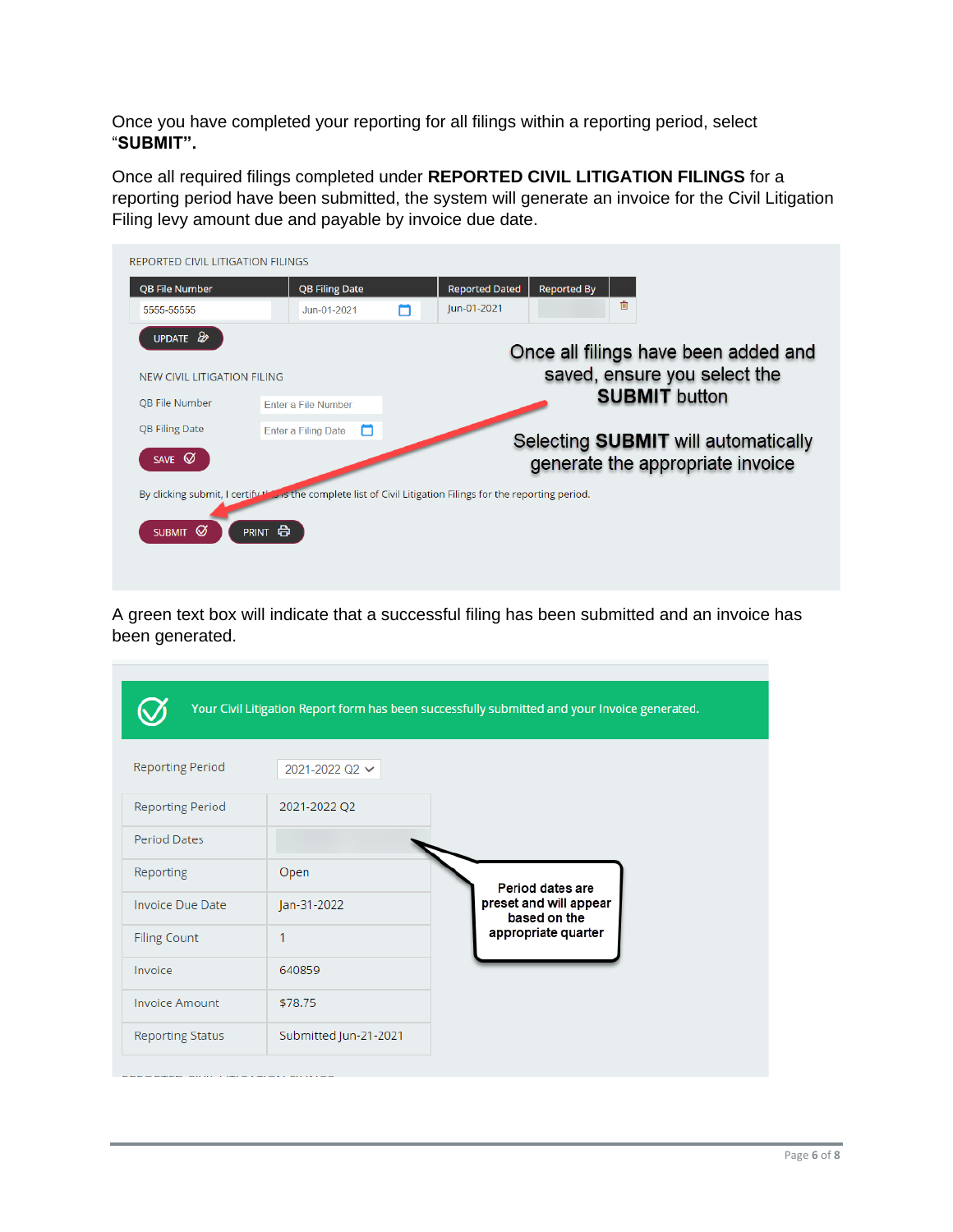Once you have completed your reporting for all filings within a reporting period, select "**SUBMIT".**

Once all required filings completed under **REPORTED CIVIL LITIGATION FILINGS** for a reporting period have been submitted, the system will generate an invoice for the Civil Litigation Filing levy amount due and payable by invoice due date.



A green text box will indicate that a successful filing has been submitted and an invoice has been generated.

|                         |                       | Your Civil Litigation Report form has been successfully submitted and your Invoice generated. |
|-------------------------|-----------------------|-----------------------------------------------------------------------------------------------|
| <b>Reporting Period</b> | 2021-2022 Q2 $\sim$   |                                                                                               |
| <b>Reporting Period</b> | 2021-2022 Q2          |                                                                                               |
| <b>Period Dates</b>     |                       |                                                                                               |
| Reporting               | Open                  | Period dates are                                                                              |
| <b>Invoice Due Date</b> | Jan-31-2022           | preset and will appear<br>based on the                                                        |
| <b>Filing Count</b>     | 1                     | appropriate quarter                                                                           |
| Invoice                 | 640859                |                                                                                               |
| <b>Invoice Amount</b>   | \$78.75               |                                                                                               |
| <b>Reporting Status</b> | Submitted Jun-21-2021 |                                                                                               |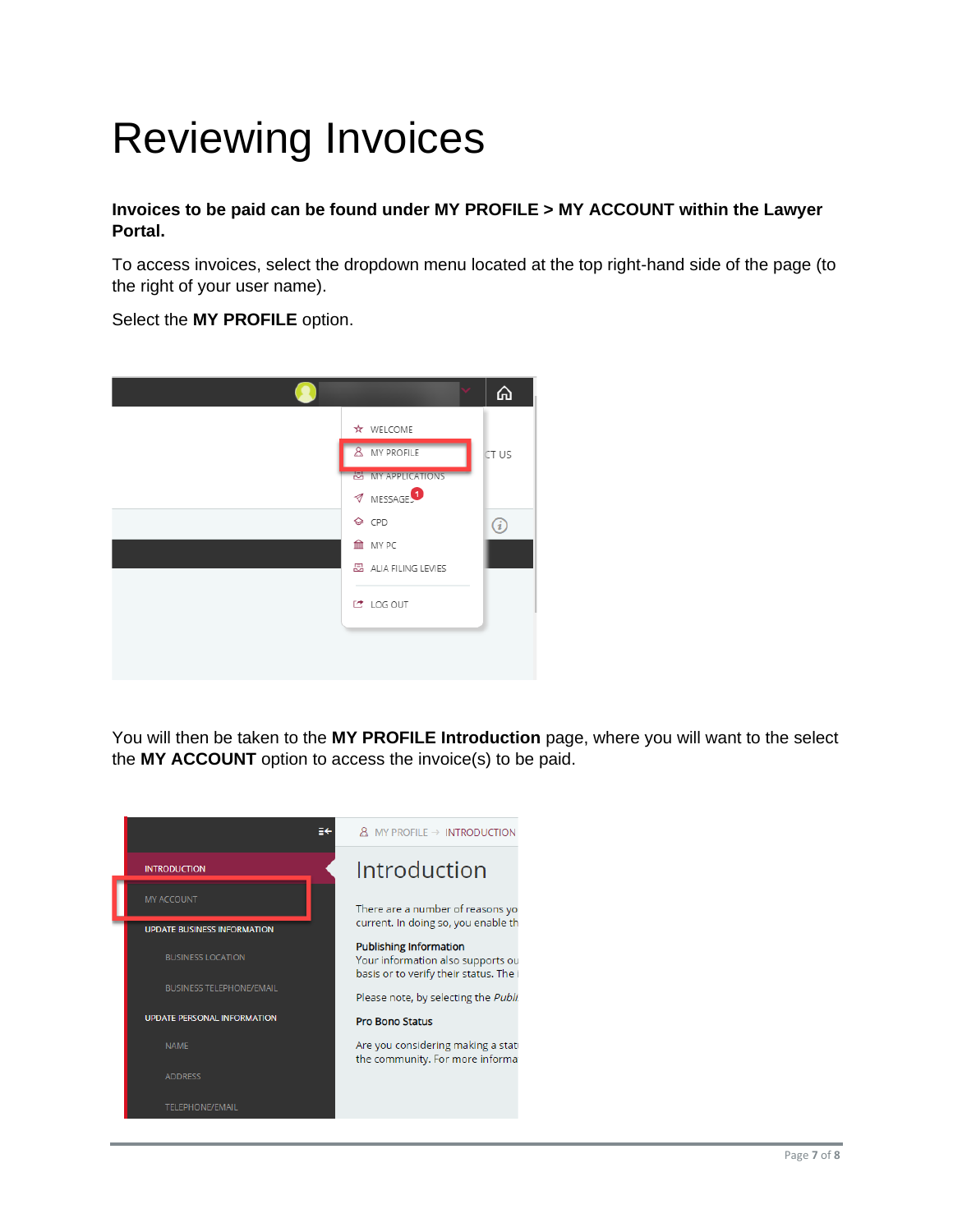### <span id="page-6-0"></span>Reviewing Invoices

**Invoices to be paid can be found under MY PROFILE > MY ACCOUNT within the Lawyer Portal.**

To access invoices, select the dropdown menu located at the top right-hand side of the page (to the right of your user name).

Select the **MY PROFILE** option.



You will then be taken to the **MY PROFILE Introduction** page, where you will want to the select the **MY ACCOUNT** option to access the invoice(s) to be paid.